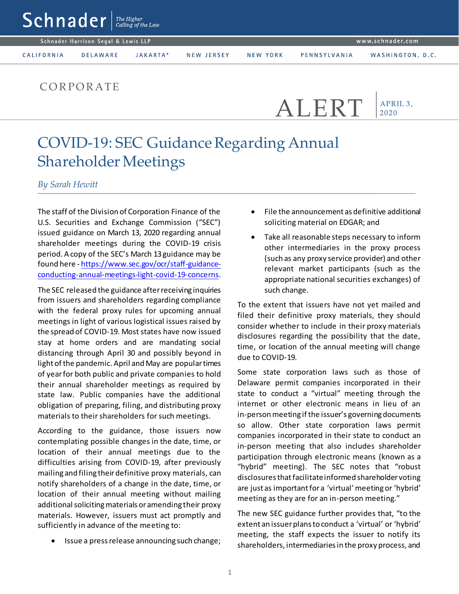|                                                                   | $ \mathsf{Sch}$ nader $ \mathsf{F} ^\frac{The \, Higher}{Calling \, of \, the \, Law} $ |          |            |          |              |                  |
|-------------------------------------------------------------------|-----------------------------------------------------------------------------------------|----------|------------|----------|--------------|------------------|
| www.schnader. <u>com</u> '<br>Schnader Harrison Segal & Lewis LLP |                                                                                         |          |            |          |              |                  |
| CALIFORNIA                                                        | <b>DELAWARE</b>                                                                         | JAKARTA* | NEW JERSEY | NEW YORK | PENNSYLVANIA | WASHINGTON, D.C. |
|                                                                   | CORPORATE                                                                               |          |            |          |              |                  |

## COVID-19: SEC Guidance Regarding Annual Shareholder Meetings

*By Sarah Hewitt*

The staff of the Division of Corporation Finance of the U.S. Securities and Exchange Commission ("SEC") issued guidance on March 13, 2020 regarding annual shareholder meetings during the COVID-19 crisis period. A copy of the SEC's March 13guidance may be found here - [https://www.sec.gov/ocr/staff-guidance](https://www.sec.gov/ocr/staff-guidance-conducting-annual-meetings-light-covid-19-concerns)[conducting-annual-meetings-light-covid-19-concerns](https://www.sec.gov/ocr/staff-guidance-conducting-annual-meetings-light-covid-19-concerns).

The SEC released the guidance after receiving inquiries from issuers and shareholders regarding compliance with the federal proxy rules for upcoming annual meetings in light of various logistical issues raised by the spread of COVID-19. Most states have now issued stay at home orders and are mandating social distancing through April 30 and possibly beyond in light of the pandemic. April and May are popular times of year for both public and private companies to hold their annual shareholder meetings as required by state law. Public companies have the additional obligation of preparing, filing, and distributing proxy materials to their shareholders for such meetings.

According to the guidance, those issuers now contemplating possible changes in the date, time, or location of their annual meetings due to the difficulties arising from COVID-19, after previously mailing and filing theirdefinitive proxy materials, can notify shareholders of a change in the date, time, or location of their annual meeting without mailing additional soliciting materials or amending their proxy materials. However, issuers must act promptly and sufficiently in advance of the meeting to:

Issue a press release announcing such change;

 File the announcement as definitive additional soliciting material on EDGAR; and

ALERT

APRIL 3, 2020

 Take all reasonable steps necessary to inform other intermediaries in the proxy process (such as any proxy service provider) and other relevant market participants (such as the appropriate national securities exchanges) of such change.

To the extent that issuers have not yet mailed and filed their definitive proxy materials, they should consider whether to include in their proxy materials disclosures regarding the possibility that the date, time, or location of the annual meeting will change due to COVID-19.

Some state corporation laws such as those of Delaware permit companies incorporated in their state to conduct a "virtual" meeting through the internet or other electronic means in lieu of an in-person meeting if the issuer's governing documents so allow. Other state corporation laws permit companies incorporated in their state to conduct an in-person meeting that also includes shareholder participation through electronic means (known as a "hybrid" meeting). The SEC notes that "robust disclosures that facilitate informed shareholder voting are just as important for a 'virtual'meeting or 'hybrid' meeting as they are for an in-person meeting."

The new SEC guidance further provides that, "to the extent an issuer plans to conduct a 'virtual' or 'hybrid' meeting, the staff expects the issuer to notify its shareholders, intermediaries in the proxy process, and